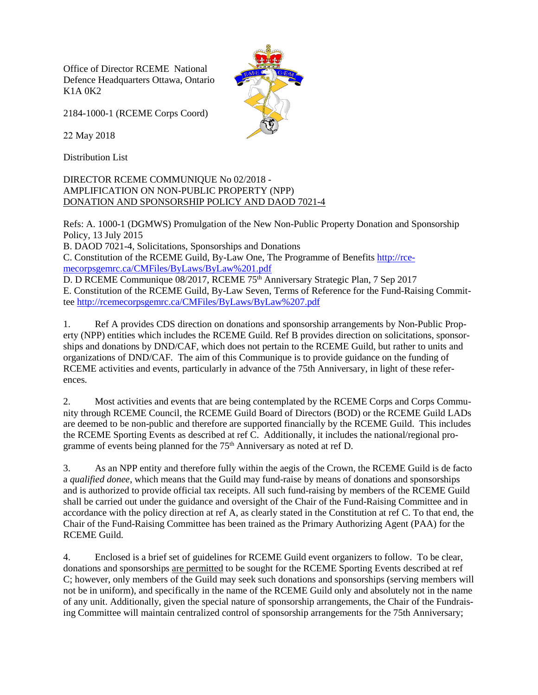Office of Director RCEME National Defence Headquarters Ottawa, Ontario K1A 0K2



2184-1000-1 (RCEME Corps Coord)

22 May 2018

Distribution List

DIRECTOR RCEME COMMUNIQUE No 02/2018 - AMPLIFICATION ON NON-PUBLIC PROPERTY (NPP) DONATION AND SPONSORSHIP POLICY AND DAOD 7021-4

Refs: A. 1000-1 (DGMWS) Promulgation of the New Non-Public Property Donation and Sponsorship Policy, 13 July 2015

B. DAOD 7021-4, Solicitations, Sponsorships and Donations

C. Constitution of the RCEME Guild, By-Law One, The Programme of Benefits [http://rce](http://rcemecorpsgemrc.ca/CMFiles/ByLaws/ByLaw%252525252525201.pdf)[mecorpsgemrc.ca/CMFiles/ByLaws/ByLaw%201.pdf](http://rcemecorpsgemrc.ca/CMFiles/ByLaws/ByLaw%252525252525201.pdf)

D. D RCEME Communique 08/2017, RCEME 75<sup>th</sup> Anniversary Strategic Plan, 7 Sep 2017 E. Constitution of the RCEME Guild, By-Law Seven, Terms of Reference for the Fund-Raising Committee [http://rcemecorpsgemrc.ca/CMFiles/ByLaws/ByLaw%207.pdf](http://rcemecorpsgemrc.ca/CMFiles/ByLaws/ByLaw%252525252525207.pdf)

1. Ref A provides CDS direction on donations and sponsorship arrangements by Non-Public Property (NPP) entities which includes the RCEME Guild. Ref B provides direction on solicitations, sponsorships and donations by DND/CAF, which does not pertain to the RCEME Guild, but rather to units and organizations of DND/CAF. The aim of this Communique is to provide guidance on the funding of RCEME activities and events, particularly in advance of the 75th Anniversary, in light of these references.

2. Most activities and events that are being contemplated by the RCEME Corps and Corps Community through RCEME Council, the RCEME Guild Board of Directors (BOD) or the RCEME Guild LADs are deemed to be non-public and therefore are supported financially by the RCEME Guild. This includes the RCEME Sporting Events as described at ref C. Additionally, it includes the national/regional programme of events being planned for the 75<sup>th</sup> Anniversary as noted at ref D.

3. As an NPP entity and therefore fully within the aegis of the Crown, the RCEME Guild is de facto a *qualified donee*, which means that the Guild may fund-raise by means of donations and sponsorships and is authorized to provide official tax receipts. All such fund-raising by members of the RCEME Guild shall be carried out under the guidance and oversight of the Chair of the Fund-Raising Committee and in accordance with the policy direction at ref A, as clearly stated in the Constitution at ref C. To that end, the Chair of the Fund-Raising Committee has been trained as the Primary Authorizing Agent (PAA) for the RCEME Guild.

4. Enclosed is a brief set of guidelines for RCEME Guild event organizers to follow. To be clear, donations and sponsorships are permitted to be sought for the RCEME Sporting Events described at ref C; however, only members of the Guild may seek such donations and sponsorships (serving members will not be in uniform), and specifically in the name of the RCEME Guild only and absolutely not in the name of any unit. Additionally, given the special nature of sponsorship arrangements, the Chair of the Fundraising Committee will maintain centralized control of sponsorship arrangements for the 75th Anniversary;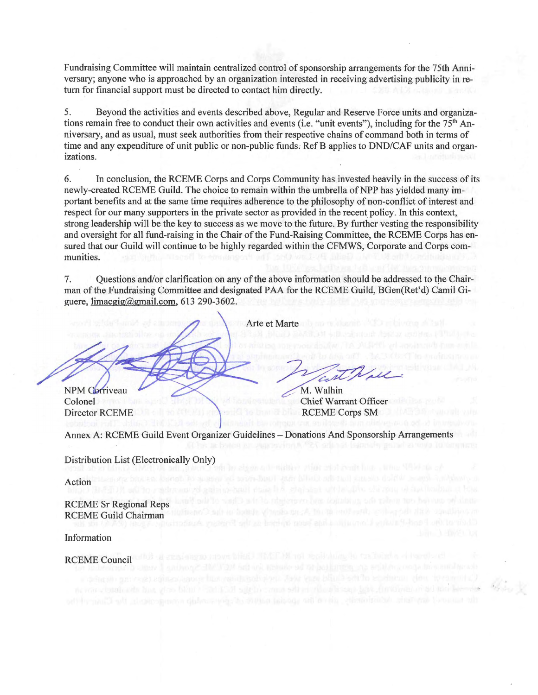Fundraising Committee will maintain centralized control of sponsorship arrangements for the 75th Anniversary; anyone who is approached by an organization interested in receiving advertising publicity in return for financial support must be directed to contact him directly.

5. Beyond the activities and events described above, Regular and Reserve Force units and organizations remain free to conduct their own activities and events (i.e. "unit events"), including for the 75<sup>th</sup> Anniversary, and as usual, must seek authorities from their respective chains of command both in terms of time and any expenditure of unit public or non-public funds. Ref B applies to DND/CAF units and organizations.

6. In conclusion, the RCEME Corps and Corps Community has invested heavily in the success of its newly-created RCEME Guild. The choice to remain within the umbrella of NPP has yielded many important benefits and at the same time requires adherence to the philosophy of non-conflict of interest and respect for our many supporters in the private sector as provided in the recent policy. In this context, strong leadership will be the key to success as we move to the future. By further vesting the responsibility and oversight for all fund-raising in the Chair of the Fund-Raising Committee, the RCEME Corps has ensured that our Guild will continue to be highly regarded within the CFMWS, Corporate and Corps communities.

7. Questions and/or clarification on any of the above information should be addressed to the Chairman of the Fundraising Committee and designated PAA for the RCEME Guild, BGen(Ret'd) Camil Giguere, limacgig@gmail.com, 613 290-3602.

Arte et Marte

West Wall

Chief Warrant Officer RCEME Corps SM

NPM Corriveau Colonel Director RCEME

Annex A: RCEME Guild Event Organizer Guidelines - Donations And Sponsorship Arrangements

Distribution List (Electronically Only)

Action

RCEME Sr Regional Reps RCEME Guild Chairman

Information

RCEME Council never clouds out has give black with a significant side in all continues and have functional mad the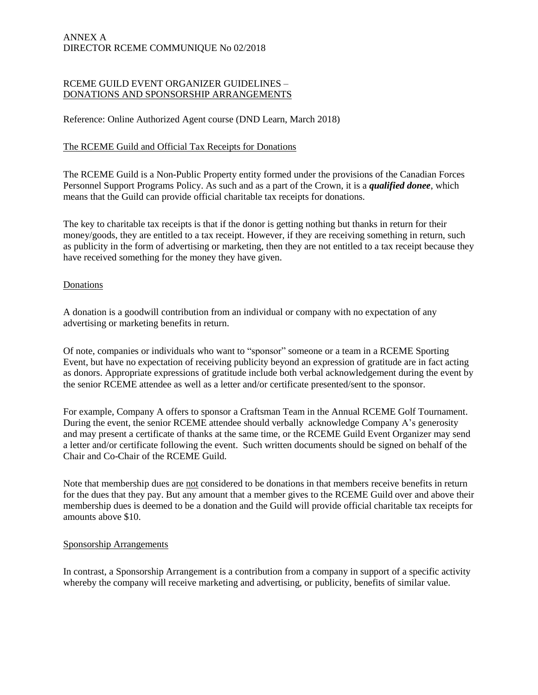### ANNEX A DIRECTOR RCEME COMMUNIQUE No 02/2018

#### RCEME GUILD EVENT ORGANIZER GUIDELINES – DONATIONS AND SPONSORSHIP ARRANGEMENTS

Reference: Online Authorized Agent course (DND Learn, March 2018)

### The RCEME Guild and Official Tax Receipts for Donations

The RCEME Guild is a Non-Public Property entity formed under the provisions of the Canadian Forces Personnel Support Programs Policy. As such and as a part of the Crown, it is a *qualified donee*, which means that the Guild can provide official charitable tax receipts for donations.

The key to charitable tax receipts is that if the donor is getting nothing but thanks in return for their money/goods, they are entitled to a tax receipt. However, if they are receiving something in return, such as publicity in the form of advertising or marketing, then they are not entitled to a tax receipt because they have received something for the money they have given.

#### **Donations**

A donation is a goodwill contribution from an individual or company with no expectation of any advertising or marketing benefits in return.

Of note, companies or individuals who want to "sponsor" someone or a team in a RCEME Sporting Event, but have no expectation of receiving publicity beyond an expression of gratitude are in fact acting as donors. Appropriate expressions of gratitude include both verbal acknowledgement during the event by the senior RCEME attendee as well as a letter and/or certificate presented/sent to the sponsor.

For example, Company A offers to sponsor a Craftsman Team in the Annual RCEME Golf Tournament. During the event, the senior RCEME attendee should verbally acknowledge Company A's generosity and may present a certificate of thanks at the same time, or the RCEME Guild Event Organizer may send a letter and/or certificate following the event. Such written documents should be signed on behalf of the Chair and Co-Chair of the RCEME Guild.

Note that membership dues are not considered to be donations in that members receive benefits in return for the dues that they pay. But any amount that a member gives to the RCEME Guild over and above their membership dues is deemed to be a donation and the Guild will provide official charitable tax receipts for amounts above \$10.

#### Sponsorship Arrangements

In contrast, a Sponsorship Arrangement is a contribution from a company in support of a specific activity whereby the company will receive marketing and advertising, or publicity, benefits of similar value.